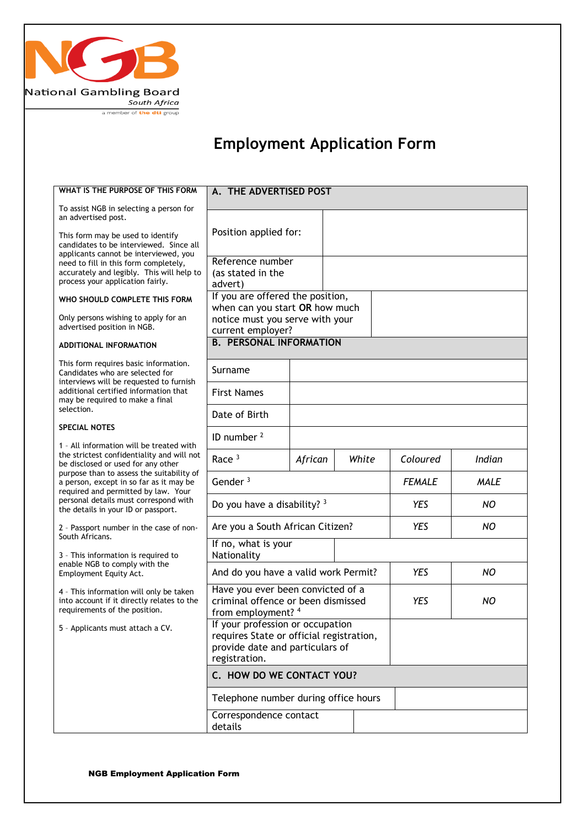

a member of **the dti** group

## **Employment Application Form**

## **WHAT IS THE PURPOSE OF THIS FORM A. THE ADVERTISED POST**

To assist NGB in selecting a person for an advertised post.

This form may be used to identify candidates to be interviewed. Since a applicants cannot be interviewed, you need to fill in this form completely, accurately and legibly. This will help process your application fairly.

**WHO SHOULD COMPLETE THIS FORM**

Only persons wishing to apply for an advertised position in NGB.

## **ADDITIONAL INFORMATION**

This form requires basic information. Candidates who are selected for interviews will be requested to furnish additional certified information that may be required to make a final selection.

## **SPECIAL NOTES**

1 – All information will be treated with the strictest confidentiality and will no be disclosed or used for any other purpose than to assess the suitability of a person, except in so far as it may be required and permitted by law. Your personal details must correspond with the details in your ID or passport.

2 – Passport number in the case of non-South Africans.

3 – This information is required to enable NGB to comply with the Employment Equity Act.

4 – This information will only be taken into account if it directly relates to the requirements of the position.

5 – Applicants must attach a CV.

| Position applied for:                                                                                                            |         |       |               |             |        |
|----------------------------------------------------------------------------------------------------------------------------------|---------|-------|---------------|-------------|--------|
| Reference number<br>(as stated in the<br>advert)                                                                                 |         |       |               |             |        |
| If you are offered the position,<br>when can you start OR how much<br>notice must you serve with your<br>current employer?       |         |       |               |             |        |
| <b>B. PERSONAL INFORMATION</b>                                                                                                   |         |       |               |             |        |
| Surname                                                                                                                          |         |       |               |             |        |
| <b>First Names</b>                                                                                                               |         |       |               |             |        |
| Date of Birth                                                                                                                    |         |       |               |             |        |
| ID number $2$                                                                                                                    |         |       |               |             |        |
| Race $3$                                                                                                                         | African | White |               | Coloured    | Indian |
| Gender $3$                                                                                                                       |         |       | <b>FEMALE</b> | <b>MALE</b> |        |
| Do you have a disability? 3                                                                                                      |         |       | <b>YES</b>    | NO          |        |
| Are you a South African Citizen?                                                                                                 |         |       |               | YES         | NO     |
| If no, what is your<br>Nationality                                                                                               |         |       |               |             |        |
| And do you have a valid work Permit?                                                                                             |         |       |               | YES         | NO     |
| Have you ever been convicted of a<br>criminal offence or been dismissed<br>from employment? 4                                    |         |       | YES           | NO          |        |
| If your profession or occupation<br>requires State or official registration,<br>provide date and particulars of<br>registration. |         |       |               |             |        |
| C. HOW DO WE CONTACT YOU?                                                                                                        |         |       |               |             |        |
| Telephone number during office hours                                                                                             |         |       |               |             |        |
| Correspondence contact<br>details                                                                                                |         |       |               |             |        |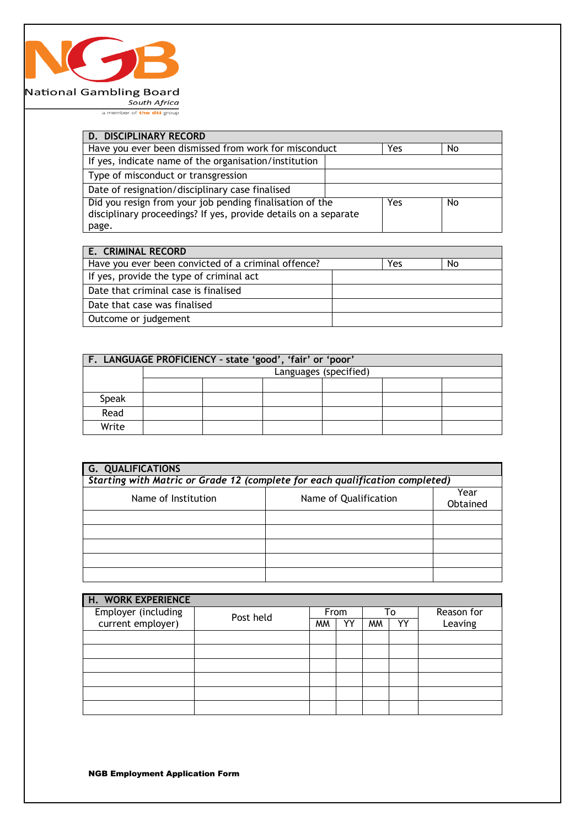

| D. DISCIPLINARY RECORD                                                                                                               |  |     |    |
|--------------------------------------------------------------------------------------------------------------------------------------|--|-----|----|
| Have you ever been dismissed from work for misconduct                                                                                |  | Yes | No |
| If yes, indicate name of the organisation/institution                                                                                |  |     |    |
| Type of misconduct or transgression                                                                                                  |  |     |    |
| Date of resignation/disciplinary case finalised                                                                                      |  |     |    |
| Did you resign from your job pending finalisation of the<br>disciplinary proceedings? If yes, provide details on a separate<br>page. |  | Yes | No |

| <b>E. CRIMINAL RECORD</b>                           |     |    |
|-----------------------------------------------------|-----|----|
| Have you ever been convicted of a criminal offence? | Yes | No |
| If yes, provide the type of criminal act            |     |    |
| Date that criminal case is finalised                |     |    |
| Date that case was finalised                        |     |    |
| Outcome or judgement                                |     |    |

| F. LANGUAGE PROFICIENCY - state 'good', 'fair' or 'poor' |  |  |  |  |  |  |
|----------------------------------------------------------|--|--|--|--|--|--|
| Languages (specified)                                    |  |  |  |  |  |  |
|                                                          |  |  |  |  |  |  |
| Speak                                                    |  |  |  |  |  |  |
| Read                                                     |  |  |  |  |  |  |
| Write                                                    |  |  |  |  |  |  |

| <b>G. QUALIFICATIONS</b>                                                     |                       |                  |  |  |  |  |
|------------------------------------------------------------------------------|-----------------------|------------------|--|--|--|--|
| Starting with Matric or Grade 12 (complete for each qualification completed) |                       |                  |  |  |  |  |
| Name of Institution                                                          | Name of Qualification | Year<br>Obtained |  |  |  |  |
|                                                                              |                       |                  |  |  |  |  |
|                                                                              |                       |                  |  |  |  |  |
|                                                                              |                       |                  |  |  |  |  |
|                                                                              |                       |                  |  |  |  |  |
|                                                                              |                       |                  |  |  |  |  |

| H. WORK EXPERIENCE  |           |      |    |           |    |            |
|---------------------|-----------|------|----|-----------|----|------------|
| Employer (including | Post held | From |    | Т٥        |    | Reason for |
| current employer)   |           | MМ   | YY | <b>MM</b> | YY | Leaving    |
|                     |           |      |    |           |    |            |
|                     |           |      |    |           |    |            |
|                     |           |      |    |           |    |            |
|                     |           |      |    |           |    |            |
|                     |           |      |    |           |    |            |
|                     |           |      |    |           |    |            |